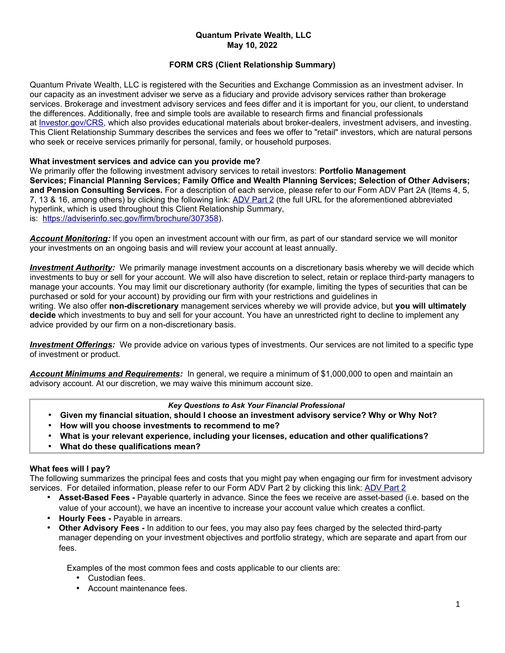## **Quantum Private Wealth, LLC May 10, 2022**

# **FORM CRS (Client Relationship Summary)**

Quantum Private Wealth, LLC is registered with the Securities and Exchange Commission as an investment adviser. In our capacity as an investment adviser we serve as a fiduciary and provide advisory services rather than brokerage services. Brokerage and investment advisory services and fees differ and it is important for you, our client, to understand the differences. Additionally, free and simple tools are available to research firms and financial professionals at [Investor.gov/CRS,](http://www.investor.gov/CRS) which also provides educational materials about broker-dealers, investment advisers, and investing. This Client Relationship Summary describes the services and fees we offer to "retail" investors, which are natural persons who seek or receive services primarily for personal, family, or household purposes.

## **What investment services and advice can you provide me?**

We primarily offer the following investment advisory services to retail investors: **Portfolio Management Services; Financial Planning Services; Family Office and Wealth Planning Services; Selection of Other Advisers; and Pension Consulting Services.** For a description of each service, please refer to our Form ADV Part 2A (Items 4, 5, 7, 13 & 16, among others) by clicking the following link: [ADV Part 2](https://adviserinfo.sec.gov/firm/brochure/307358) (the full URL for the aforementioned abbreviated hyperlink, which is used throughout this Client Relationship Summary, is: [https://adviserinfo.sec.gov/firm/brochure/307358\)](https://adviserinfo.sec.gov/firm/brochure/307358).

*Account Monitoring:* If you open an investment account with our firm, as part of our standard service we will monitor your investments on an ongoing basis and will review your account at least annually.

*Investment Authority:* We primarily manage investment accounts on a discretionary basis whereby we will decide which investments to buy or sell for your account. We will also have discretion to select, retain or replace third-party managers to manage your accounts. You may limit our discretionary authority (for example, limiting the types of securities that can be purchased or sold for your account) by providing our firm with your restrictions and guidelines in writing. We also offer **non-discretionary** management services whereby we will provide advice, but **you will ultimately decide** which investments to buy and sell for your account. You have an unrestricted right to decline to implement any advice provided by our firm on a non-discretionary basis.

 *Investment Offerings:* We provide advice on various types of investments. Our services are not limited to a specific type of investment or product.

*Account Minimums and Requirements:* In general, we require a minimum of \$1,000,000 to open and maintain an advisory account. At our discretion, we may waive this minimum account size.

#### *Key Questions to Ask Your Financial Professional*

- **Given my financial situation, should I choose an investment advisory service? Why or Why Not?**
- **How will you choose investments to recommend to me?**
- **What is your relevant experience, including your licenses, education and other qualifications?**
- **What do these qualifications mean?**

## **What fees will I pay?**

The following summarizes the principal fees and costs that you might pay when engaging our firm for investment advisory services. For detailed information, please refer to our Form [ADV Part 2](https://adviserinfo.sec.gov/firm/brochure/307358) by clicking this link: ADV Part 2

- **Asset-Based Fees -** Payable quarterly in advance. Since the fees we receive are asset-based (i.e. based on the value of your account), we have an incentive to increase your account value which creates a conflict.
- **Hourly Fees -** Payable in arrears.
- **Other Advisory Fees -** In addition to our fees, you may also pay fees charged by the selected third-party manager depending on your investment objectives and portfolio strategy, which are separate and apart from our fees.

Examples of the most common fees and costs applicable to our clients are:

- Custodian fees.
- Account maintenance fees.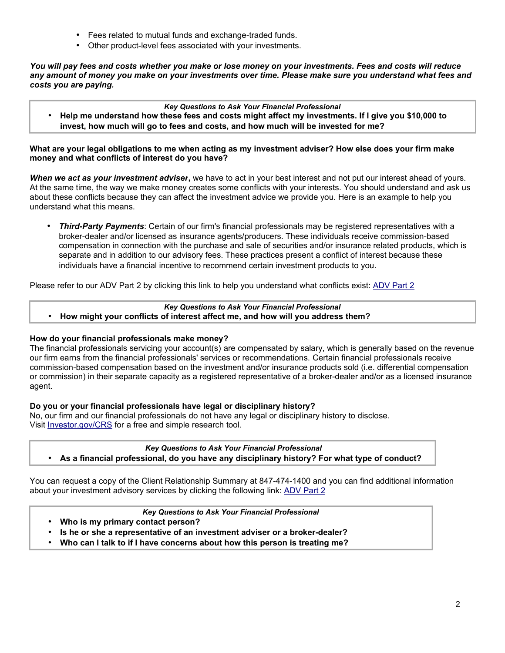- Fees related to mutual funds and exchange-traded funds.
- Other product-level fees associated with your investments.

*You will pay fees and costs whether you make or lose money on your investments. Fees and costs will reduce any amount of money you make on your investments over time. Please make sure you understand what fees and costs you are paying.*

*Key Questions to Ask Your Financial Professional*

• **Help me understand how these fees and costs might affect my investments. If I give you \$10,000 to invest, how much will go to fees and costs, and how much will be invested for me?**

**What are your legal obligations to me when acting as my investment adviser? How else does your firm make money and what conflicts of interest do you have?**

*When we act as your investment adviser***,** we have to act in your best interest and not put our interest ahead of yours. At the same time, the way we make money creates some conflicts with your interests. You should understand and ask us about these conflicts because they can affect the investment advice we provide you. Here is an example to help you understand what this means.

• *Third-Party Payments*: Certain of our firm's financial professionals may be registered representatives with a broker-dealer and/or licensed as insurance agents/producers. These individuals receive commission-based compensation in connection with the purchase and sale of securities and/or insurance related products, which is separate and in addition to our advisory fees. These practices present a conflict of interest because these individuals have a financial incentive to recommend certain investment products to you.

Please refer to our ADV Part 2 by clicking this link to help you understand what conflicts exist: [ADV Part 2](https://adviserinfo.sec.gov/firm/brochure/307358)

#### *Key Questions to Ask Your Financial Professional*

• **How might your conflicts of interest affect me, and how will you address them?**

#### **How do your financial professionals make money?**

The financial professionals servicing your account(s) are compensated by salary, which is generally based on the revenue our firm earns from the financial professionals' services or recommendations. Certain financial professionals receive commission-based compensation based on the investment and/or insurance products sold (i.e. differential compensation or commission) in their separate capacity as a registered representative of a broker-dealer and/or as a licensed insurance agent.

#### **Do you or your financial professionals have legal or disciplinary history?**

No, our firm and our financial professionals do not have any legal or disciplinary history to disclose. Visit [Investor.gov/CRS](http://www.investor.gov/crs) for a free and simple research tool.

*Key Questions to Ask Your Financial Professional* • **As a financial professional, do you have any disciplinary history? For what type of conduct?**

You can request a copy of the Client Relationship Summary at 847-474-1400 and you can find additional information about your investment advisory services by clicking the following link: [ADV Part 2](https://adviserinfo.sec.gov/firm/brochure/307358)

### *Key Questions to Ask Your Financial Professional*

- **Who is my primary contact person?**
- **Is he or she a representative of an investment adviser or a broker-dealer?**
- **Who can I talk to if I have concerns about how this person is treating me?**